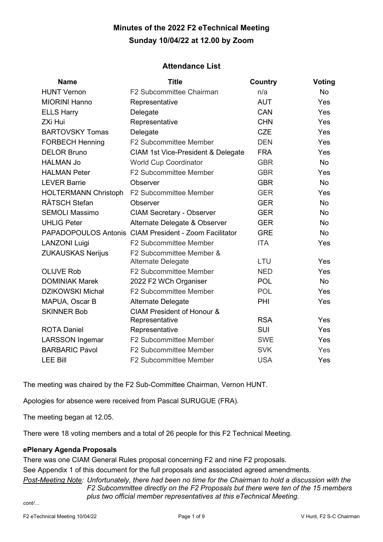# **Minutes of the 2022 F2 eTechnical Meeting Sunday 10/04/22 at 12.00 by Zoom**

# **Attendance List**

| <b>Name</b>                 | <b>Title</b>                                           | <b>Country</b> | Voting     |  |
|-----------------------------|--------------------------------------------------------|----------------|------------|--|
| <b>HUNT Vernon</b>          | F2 Subcommittee Chairman                               | n/a            | <b>No</b>  |  |
| <b>MIORINI Hanno</b>        | Representative                                         | <b>AUT</b>     | Yes        |  |
| <b>ELLS Harry</b>           | Delegate                                               | CAN            | Yes        |  |
| <b>ZXi Hui</b>              | Representative                                         | <b>CHN</b>     | Yes        |  |
| <b>BARTOVSKY Tomas</b>      | Delegate                                               | <b>CZE</b>     | Yes        |  |
| <b>FORBECH Henning</b>      | F2 Subcommittee Member                                 | <b>DEN</b>     | Yes        |  |
| <b>DELOR Bruno</b>          | CIAM 1st Vice-President & Delegate                     | <b>FRA</b>     | Yes        |  |
| <b>HALMAN Jo</b>            | <b>World Cup Coordinator</b>                           | <b>GBR</b>     | <b>No</b>  |  |
| <b>HALMAN Peter</b>         | <b>F2 Subcommittee Member</b>                          | <b>GBR</b>     | Yes        |  |
| <b>LEVER Barrie</b>         | Observer                                               | <b>GBR</b>     | <b>No</b>  |  |
| <b>HOLTERMANN Christoph</b> | <b>F2 Subcommittee Member</b>                          | <b>GER</b>     | Yes        |  |
| <b>RÄTSCH Stefan</b>        | Observer                                               | <b>GER</b>     | <b>No</b>  |  |
| <b>SEMOLI Massimo</b>       | <b>CIAM Secretary - Observer</b>                       | <b>GER</b>     | <b>No</b>  |  |
| <b>UHLIG Peter</b>          | Alternate Delegate & Observer                          | <b>GER</b>     | <b>No</b>  |  |
|                             | PAPADOPOULOS Antonis CIAM President - Zoom Facilitator | <b>GRE</b>     | <b>No</b>  |  |
| <b>LANZONI Luigi</b>        | <b>F2 Subcommittee Member</b>                          | <b>ITA</b>     | Yes        |  |
| <b>ZUKAUSKAS Nerijus</b>    | F2 Subcommittee Member &<br><b>Alternate Delegate</b>  | LTU            | Yes        |  |
| <b>OLIJVE Rob</b>           | F2 Subcommittee Member                                 | <b>NED</b>     | Yes        |  |
| <b>DOMINIAK Marek</b>       | 2022 F2 WCh Organiser                                  | <b>POL</b>     | <b>No</b>  |  |
| <b>DZIKOWSKI Michał</b>     | F2 Subcommittee Member                                 | <b>POL</b>     | Yes        |  |
| MAPUA, Oscar B              | Alternate Delegate                                     | PHI            | Yes        |  |
| <b>SKINNER Bob</b>          | <b>CIAM President of Honour &amp;</b>                  |                |            |  |
|                             | Representative                                         | <b>RSA</b>     | Yes        |  |
| <b>ROTA Daniel</b>          | Representative                                         | <b>SUI</b>     | <b>Yes</b> |  |
| <b>LARSSON Ingemar</b>      | F2 Subcommittee Member                                 | <b>SWE</b>     | Yes        |  |
| <b>BARBARIC Pavol</b>       | <b>F2 Subcommittee Member</b>                          | <b>SVK</b>     | Yes        |  |
| <b>LEE Bill</b>             | <b>F2 Subcommittee Member</b>                          | <b>USA</b>     | Yes        |  |

The meeting was chaired by the F2 Sub-Committee Chairman, Vernon HUNT.

Apologies for absence were received from Pascal SURUGUE (FRA).

The meeting began at 12.05.

There were 18 voting members and a total of 26 people for this F2 Technical Meeting.

# **ePlenary Agenda Proposals**

There was one CIAM General Rules proposal concerning F2 and nine F2 proposals.

See Appendix 1 of this document for the full proposals and associated agreed amendments.

*Post-Meeting Note: Unfortunately, there had been no time for the Chairman to hold a discussion with the F2 Subcommittee directly on the F2 Proposals but there were ten of the 15 members plus two official member representatives at this eTechnical Meeting.*

*cont/…*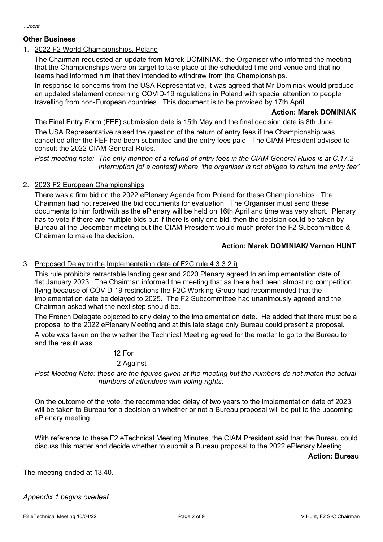# **Other Business**

*…/cont*

# 1. 2022 F2 World Championships, Poland

The Chairman requested an update from Marek DOMINIAK, the Organiser who informed the meeting that the Championships were on target to take place at the scheduled time and venue and that no teams had informed him that they intended to withdraw from the Championships.

In response to concerns from the USA Representative, it was agreed that Mr Dominiak would produce an updated statement concerning COVID-19 regulations in Poland with special attention to people travelling from non-European countries. This document is to be provided by 17th April.

### **Action: Marek DOMINIAK**

The Final Entry Form (FEF) submission date is 15th May and the final decision date is 8th June.

The USA Representative raised the question of the return of entry fees if the Championship was cancelled after the FEF had been submitted and the entry fees paid. The CIAM President advised to consult the 2022 CIAM General Rules.

*Post-meeting note: The only mention of a refund of entry fees in the CIAM General Rules is at C.17.2 Interruption [of a contest] where "the organiser is not obliged to return the entry fee"*

# 2. 2023 F2 European Championships

There was a firm bid on the 2022 ePlenary Agenda from Poland for these Championships. The Chairman had not received the bid documents for evaluation. The Organiser must send these documents to him forthwith as the ePlenary will be held on 16th April and time was very short. Plenary has to vote if there are multiple bids but if there is only one bid, then the decision could be taken by Bureau at the December meeting but the CIAM President would much prefer the F2 Subcommittee & Chairman to make the decision.

# **Action: Marek DOMINIAK/ Vernon HUNT**

### 3. Proposed Delay to the Implementation date of F2C rule 4.3.3.2 i)

This rule prohibits retractable landing gear and 2020 Plenary agreed to an implementation date of 1st January 2023. The Chairman informed the meeting that as there had been almost no competition flying because of COVID-19 restrictions the F2C Working Group had recommended that the implementation date be delayed to 2025. The F2 Subcommittee had unanimously agreed and the Chairman asked what the next step should be.

The French Delegate objected to any delay to the implementation date. He added that there must be a proposal to the 2022 ePlenary Meeting and at this late stage only Bureau could present a proposal. A vote was taken on the whether the Technical Meeting agreed for the matter to go to the Bureau to

12 For

# 2 Against

*Post-Meeting Note: these are the figures given at the meeting but the numbers do not match the actual numbers of attendees with voting rights.*

On the outcome of the vote, the recommended delay of two years to the implementation date of 2023 will be taken to Bureau for a decision on whether or not a Bureau proposal will be put to the upcoming ePlenary meeting.

With reference to these F2 eTechnical Meeting Minutes, the CIAM President said that the Bureau could discuss this matter and decide whether to submit a Bureau proposal to the 2022 ePlenary Meeting.

**Action: Bureau**

The meeting ended at 13.40.

and the result was:

# *Appendix 1 begins overleaf.*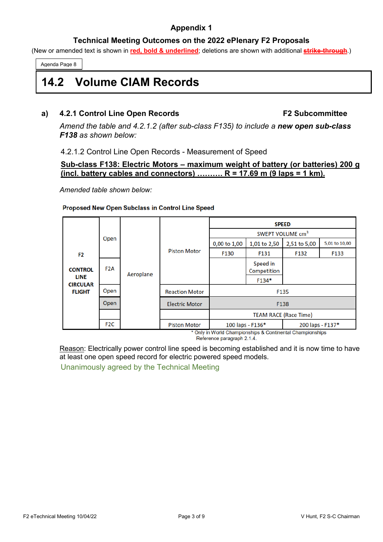# **Appendix 1**

# **Technical Meeting Outcomes on the 2022 ePlenary F2 Proposals**

(New or amended text is shown in **red, bold & underlined**; deletions are shown with additional **strike-through**.)

Agenda Page 8

# **14.2 Volume CIAM Records**

# **a) 4.2.1 Control Line Open Records F2 Subcommittee**

*Amend the table and 4.2.1.2 (after sub-class F135) to include a new open sub-class F138 as shown below:* 

# 4.2.1.2 Control Line Open Records - Measurement of Speed

# **Sub-class F138: Electric Motors – maximum weight of battery (or batteries) 200 g (incl. battery cables and connectors) ………. R = 17.69 m (9 laps = 1 km).**

*Amended table shown below:*

### Proposed New Open Subclass in Control Line Speed

|                                                                                     |                  | Open      | <b>Piston Motor</b>   | <b>SPEED</b>                 |                         |                  |               |
|-------------------------------------------------------------------------------------|------------------|-----------|-----------------------|------------------------------|-------------------------|------------------|---------------|
|                                                                                     |                  |           |                       | SWEPT VOLUME cm <sup>3</sup> |                         |                  |               |
|                                                                                     |                  |           |                       | 0,00 to 1,00                 | 1,01 to 2,50            | 2,51 to 5,00     | 5,01 to 10,00 |
| F <sub>2</sub><br><b>CONTROL</b><br><b>LINE</b><br><b>CIRCULAR</b><br><b>FLIGHT</b> |                  |           |                       | F130                         | F131                    | F132             | F133          |
|                                                                                     | F <sub>2</sub> A | Aeroplane |                       |                              | Speed in<br>Competition |                  |               |
|                                                                                     |                  |           |                       |                              | F134*                   |                  |               |
|                                                                                     | Open             |           | <b>Reaction Motor</b> | F135                         |                         |                  |               |
|                                                                                     | Open             |           | <b>Electric Motor</b> | F138                         |                         |                  |               |
|                                                                                     |                  |           |                       | <b>TEAM RACE (Race Time)</b> |                         |                  |               |
|                                                                                     | F <sub>2</sub> C |           | <b>Piston Motor</b>   | 100 laps - F136*             |                         | 200 laps - F137* |               |

Only in World Championships & Continental Championships Reference paragraph 2.1.4.

Reason: Electrically power control line speed is becoming established and it is now time to have at least one open speed record for electric powered speed models.

Unanimously agreed by the Technical Meeting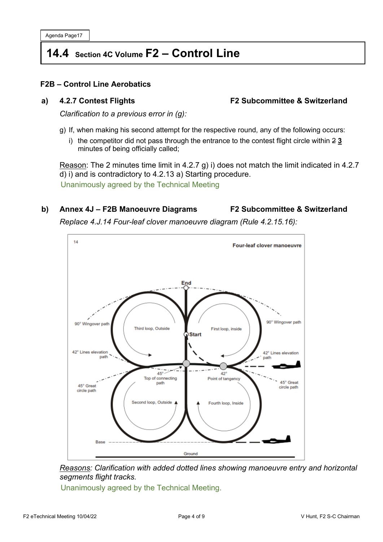Agenda Page17

# **14.4 Section 4C Volume F2 – Control Line**

# **F2B – Control Line Aerobatics**

# **a) 4.2.7 Contest Flights F2 Subcommittee & Switzerland**

*Clarification to a previous error in (g):*

- g) If, when making his second attempt for the respective round, any of the following occurs:
	- i) the competitor did not pass through the entrance to the contest flight circle within 2 **3** minutes of being officially called;

Reason: The 2 minutes time limit in 4.2.7 g) i) does not match the limit indicated in 4.2.7 d) i) and is contradictory to 4.2.13 a) Starting procedure.

Unanimously agreed by the Technical Meeting

# **b) Annex 4J – F2B Manoeuvre Diagrams F2 Subcommittee & Switzerland**

*Replace 4.J.14 Four-leaf clover manoeuvre diagram (Rule 4.2.15.16):*





Unanimously agreed by the Technical Meeting.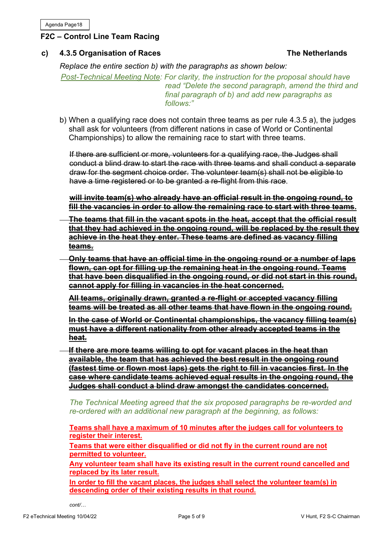# **F2C – Control Line Team Racing**

# **c) 4.3.5 Organisation of Races** The Netherlands

*Replace the entire section b) with the paragraphs as shown below:*

*Post-Technical Meeting Note: For clarity, the instruction for the proposal should have read "Delete the second paragraph, amend the third and final paragraph of b) and add new paragraphs as follows:"*

b) When a qualifying race does not contain three teams as per rule 4.3.5 a), the judges shall ask for volunteers (from different nations in case of World or Continental Championships) to allow the remaining race to start with three teams.

If there are sufficient or more, volunteers for a qualifying race, the Judges shall conduct a blind draw to start the race with three teams and shall conduct a separate draw for the segment choice order. The volunteer team(s) shall not be eligible to have a time registered or to be granted a re-flight from this race.

**will invite team(s) who already have an official result in the ongoing round, to fill the vacancies in order to allow the remaining race to start with three teams.**

- **The teams that fill in the vacant spots in the heat, accept that the official result that they had achieved in the ongoing round, will be replaced by the result they achieve in the heat they enter. These teams are defined as vacancy filling teams.**
- **Only teams that have an official time in the ongoing round or a number of laps flown, can opt for filling up the remaining heat in the ongoing round. Teams that have been disqualified in the ongoing round, or did not start in this round, cannot apply for filling in vacancies in the heat concerned.**

**All teams, originally drawn, granted a re-flight or accepted vacancy filling teams will be treated as all other teams that have flown in the ongoing round.**

**In the case of World or Continental championships, the vacancy filling team(s) must have a different nationality from other already accepted teams in the heat.**

**If there are more teams willing to opt for vacant places in the heat than available, the team that has achieved the best result in the ongoing round (fastest time or flown most laps) gets the right to fill in vacancies first. In the case where candidate teams achieved equal results in the ongoing round, the Judges shall conduct a blind draw amongst the candidates concerned.**

*The Technical Meeting agreed that the six proposed paragraphs be re-worded and re-ordered with an additional new paragraph at the beginning, as follows:*

**Teams shall have a maximum of 10 minutes after the judges call for volunteers to register their interest.** 

**Teams that were either disqualified or did not fly in the current round are not permitted to volunteer.**

**Any volunteer team shall have its existing result in the current round cancelled and replaced by its later result.**

**In order to fill the vacant places, the judges shall select the volunteer team(s) in descending order of their existing results in that round.**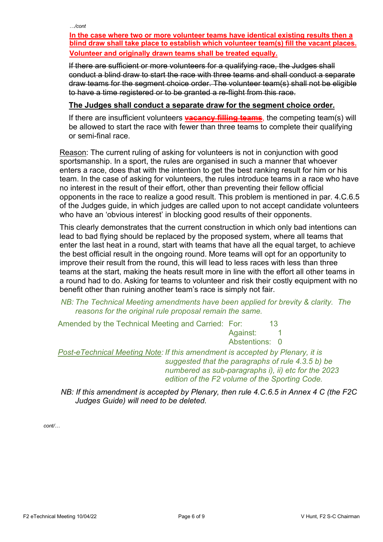*…/cont*

**In the case where two or more volunteer teams have identical existing results then a blind draw shall take place to establish which volunteer team(s) fill the vacant places. Volunteer and originally drawn teams shall be treated equally.**

If there are sufficient or more volunteers for a qualifying race, the Judges shall conduct a blind draw to start the race with three teams and shall conduct a separate draw teams for the segment choice order. The volunteer team(s) shall not be eligible to have a time registered or to be granted a re-flight from this race.

# **The Judges shall conduct a separate draw for the segment choice order.**

If there are insufficient volunteers **vacancy filling teams**, the competing team(s) will be allowed to start the race with fewer than three teams to complete their qualifying or semi-final race.

Reason: The current ruling of asking for volunteers is not in conjunction with good sportsmanship. In a sport, the rules are organised in such a manner that whoever enters a race, does that with the intention to get the best ranking result for him or his team. In the case of asking for volunteers, the rules introduce teams in a race who have no interest in the result of their effort, other than preventing their fellow official opponents in the race to realize a good result. This problem is mentioned in par. 4.C.6.5 of the Judges guide, in which judges are called upon to not accept candidate volunteers who have an 'obvious interest' in blocking good results of their opponents.

This clearly demonstrates that the current construction in which only bad intentions can lead to bad flying should be replaced by the proposed system, where all teams that enter the last heat in a round, start with teams that have all the equal target, to achieve the best official result in the ongoing round. More teams will opt for an opportunity to improve their result from the round, this will lead to less races with less than three teams at the start, making the heats result more in line with the effort all other teams in a round had to do. Asking for teams to volunteer and risk their costly equipment with no benefit other than ruining another team's race is simply not fair.

# *NB: The Technical Meeting amendments have been applied for brevity & clarity. The reasons for the original rule proposal remain the same.*

Amended by the Technical Meeting and Carried: For: 13 Against: 1 Abstentions: 0

*Post-eTechnical Meeting Note: If this amendment is accepted by Plenary, it is suggested that the paragraphs of rule 4.3.5 b) be numbered as sub-paragraphs i), ii) etc for the 2023 edition of the F2 volume of the Sporting Code.*

*NB: If this amendment is accepted by Plenary, then rule 4.C.6.5 in Annex 4 C (the F2C Judges Guide) will need to be deleted.*

*cont/…*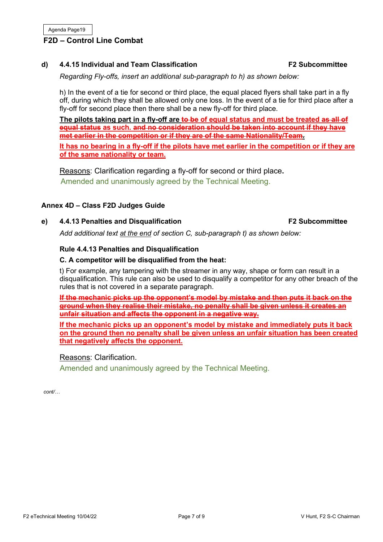# **F2D – Control Line Combat**

# **d) 4.4.15 Individual and Team Classification F2 Subcommittee**

*Regarding Fly-offs, insert an additional sub-paragraph to h) as shown below:*

h) In the event of a tie for second or third place, the equal placed flyers shall take part in a fly off, during which they shall be allowed only one loss. In the event of a tie for third place after a fly-off for second place then there shall be a new fly-off for third place.

**The pilots taking part in a fly-off are to be of equal status and must be treated as all of equal status as such. and no consideration should be taken into account if they have met earlier in the competition or if they are of the same Nationality/Team. It has no bearing in a fly-off if the pilots have met earlier in the competition or if they are** 

**of the same nationality or team.**

Reasons: Clarification regarding a fly-off for second or third place**.** Amended and unanimously agreed by the Technical Meeting.

# **Annex 4D – Class F2D Judges Guide**

### **e) 4.4.13 Penalties and Disqualification F2 Subcommittee**

*Add additional text at the end of section C, sub-paragraph t) as shown below:*

# **Rule 4.4.13 Penalties and Disqualification**

### **C. A competitor will be disqualified from the heat:**

t) For example, any tampering with the streamer in any way, shape or form can result in a disqualification. This rule can also be used to disqualify a competitor for any other breach of the rules that is not covered in a separate paragraph.

**If the mechanic picks up the opponent's model by mistake and then puts it back on the ground when they realise their mistake, no penalty shall be given unless it creates an unfair situation and affects the opponent in a negative way.**

**If the mechanic picks up an opponent's model by mistake and immediately puts it back on the ground then no penalty shall be given unless an unfair situation has been created that negatively affects the opponent.**

# Reasons: Clarification.

Amended and unanimously agreed by the Technical Meeting.

*cont/…*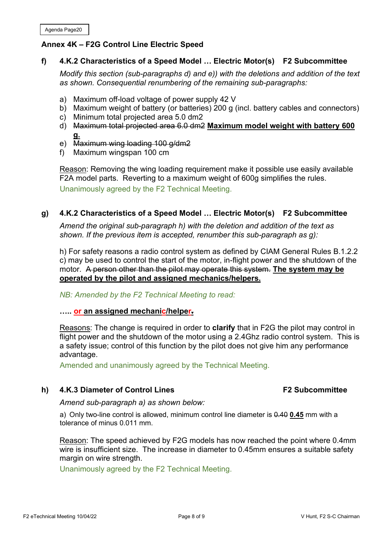# **Annex 4K – F2G Control Line Electric Speed**

# **f) 4.K.2 Characteristics of a Speed Model … Electric Motor(s) F2 Subcommittee**

*Modify this section (sub-paragraphs d) and e)) with the deletions and addition of the text as shown. Consequential renumbering of the remaining sub-paragraphs:*

- a) Maximum off-load voltage of power supply 42 V
- b) Maximum weight of battery (or batteries) 200 g (incl. battery cables and connectors)
- c) Minimum total projected area 5.0 dm2
- d) Maximum total projected area 6.0 dm2 **Maximum model weight with battery 600 g.**
- e) Maximum wing loading 100 g/dm2
- f) Maximum wingspan 100 cm

Reason: Removing the wing loading requirement make it possible use easily available F2A model parts. Reverting to a maximum weight of 600g simplifies the rules. Unanimously agreed by the F2 Technical Meeting.

# **g) 4.K.2 Characteristics of a Speed Model … Electric Motor(s) F2 Subcommittee**

*Amend the original sub-paragraph h) with the deletion and addition of the text as shown. If the previous item is accepted, renumber this sub-paragraph as g):*

h) For safety reasons a radio control system as defined by CIAM General Rules B.1.2.2 c) may be used to control the start of the motor, in-flight power and the shutdown of the motor. A person other than the pilot may operate this system. **The system may be operated by the pilot and assigned mechanics/helpers.**

*NB: Amended by the F2 Technical Meeting to read:*

# **….. or an assigned mechanic/helper.**

Reasons: The change is required in order to **clarify** that in F2G the pilot may control in flight power and the shutdown of the motor using a 2.4Ghz radio control system. This is a safety issue; control of this function by the pilot does not give him any performance advantage.

Amended and unanimously agreed by the Technical Meeting.

# **h) 4.K.3 Diameter of Control Lines** F2 Subcommittee

*Amend sub-paragraph a) as shown below:*

a) Only two-line control is allowed, minimum control line diameter is 0.40 **0.45** mm with a tolerance of minus 0.011 mm.

Reason: The speed achieved by F2G models has now reached the point where 0.4mm wire is insufficient size. The increase in diameter to 0.45mm ensures a suitable safety margin on wire strength.

Unanimously agreed by the F2 Technical Meeting.